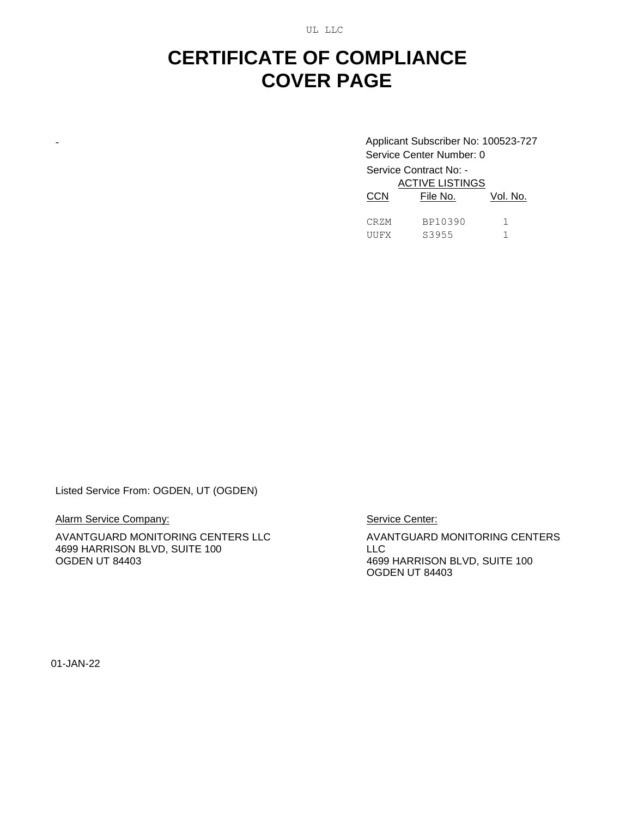UL LLC

## **CERTIFICATE OF COMPLIANCE COVER PAGE**

- Applicant Subscriber No: 100523-727 Service Center Number: 0 Service Contract No: - ACTIVE LISTINGS File No. Vol. No.

| $\sim$ | .       | ,,,,,, |
|--------|---------|--------|
| CRZM   | BP10390 |        |
| UUFX   | S3955   |        |

Listed Service From: OGDEN, UT (OGDEN)

Alarm Service Company:

AVANTGUARD MONITORING CENTERS LLC 4699 HARRISON BLVD, SUITE 100 OGDEN UT 84403

Service Center:

AVANTGUARD MONITORING CENTERS LLC 4699 HARRISON BLVD, SUITE 100 OGDEN UT 84403

01-JAN-22